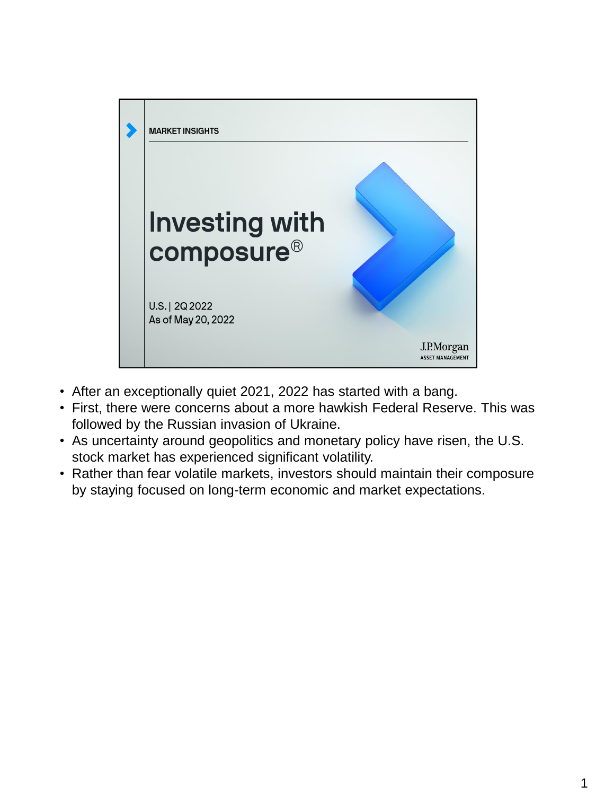

- After an exceptionally quiet 2021, 2022 has started with a bang.
- First, there were concerns about a more hawkish Federal Reserve. This was followed by the Russian invasion of Ukraine.
- As uncertainty around geopolitics and monetary policy have risen, the U.S. stock market has experienced significant volatility.
- Rather than fear volatile markets, investors should maintain their composure by staying focused on long-term economic and market expectations.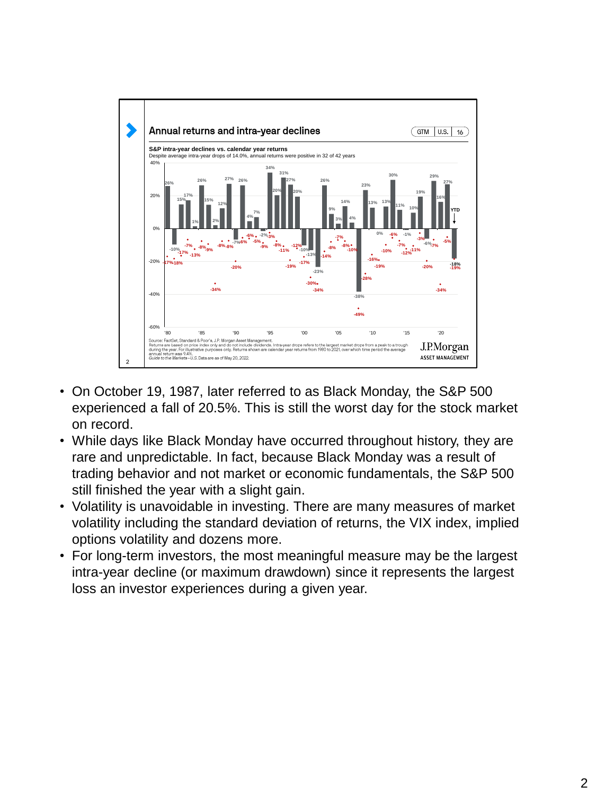

- On October 19, 1987, later referred to as Black Monday, the S&P 500 experienced a fall of 20.5%. This is still the worst day for the stock market on record.
- While days like Black Monday have occurred throughout history, they are rare and unpredictable. In fact, because Black Monday was a result of trading behavior and not market or economic fundamentals, the S&P 500 still finished the year with a slight gain.
- Volatility is unavoidable in investing. There are many measures of market volatility including the standard deviation of returns, the VIX index, implied options volatility and dozens more.
- For long-term investors, the most meaningful measure may be the largest intra-year decline (or maximum drawdown) since it represents the largest loss an investor experiences during a given year.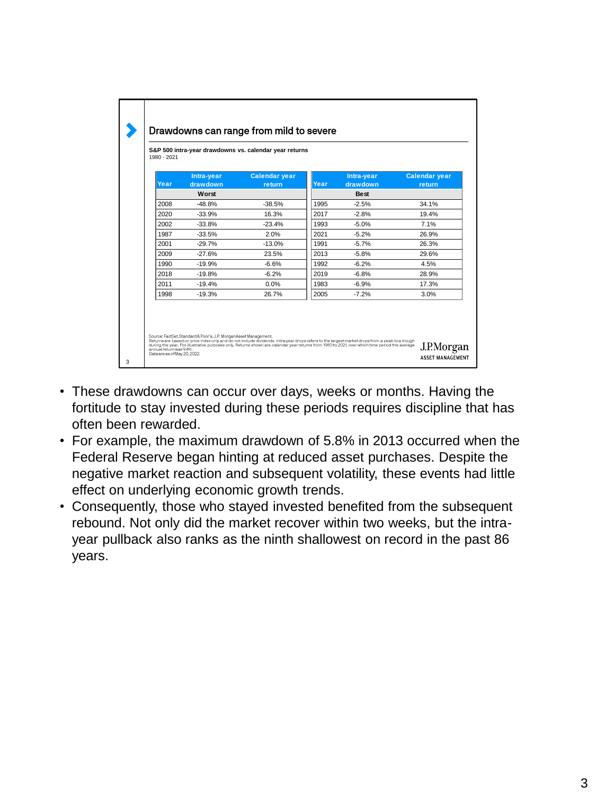|      | Intra-year | <b>Calendar year</b> |      | Intra-year  | <b>Calendar year</b> |
|------|------------|----------------------|------|-------------|----------------------|
| Year | drawdown   | return               | Year | drawdown    | return               |
|      | Worst      |                      |      | <b>Best</b> |                      |
| 2008 | $-48.8%$   | $-38.5%$             | 1995 | $-2.5%$     | 34.1%                |
| 2020 | $-33.9%$   | 16.3%                | 2017 | $-2.8%$     | 19.4%                |
| 2002 | $-33.8%$   | $-23.4%$             | 1993 | $-5.0%$     | 7.1%                 |
| 1987 | $-33.5%$   | 2.0%                 | 2021 | $-5.2%$     | 26.9%                |
| 2001 | $-29.7%$   | $-13.0%$             | 1991 | $-5.7%$     | 26.3%                |
| 2009 | $-27.6%$   | 23.5%                | 2013 | $-5.8%$     | 29.6%                |
| 1990 | $-19.9%$   | $-6.6%$              | 1992 | $-6.2%$     | 4.5%                 |
| 2018 | $-19.8%$   | $-6.2%$              | 2019 | $-6.8%$     | 28.9%                |
| 2011 | $-19.4%$   | 0.0%                 | 1983 | $-6.9%$     | 17.3%                |
| 1998 | $-19.3%$   | 26.7%                | 2005 | $-7.2%$     | 3.0%                 |

- These drawdowns can occur over days, weeks or months. Having the fortitude to stay invested during these periods requires discipline that has often been rewarded.
- For example, the maximum drawdown of 5.8% in 2013 occurred when the Federal Reserve began hinting at reduced asset purchases. Despite the negative market reaction and subsequent volatility, these events had little effect on underlying economic growth trends.
- Consequently, those who stayed invested benefited from the subsequent rebound. Not only did the market recover within two weeks, but the intrayear pullback also ranks as the ninth shallowest on record in the past 86 years.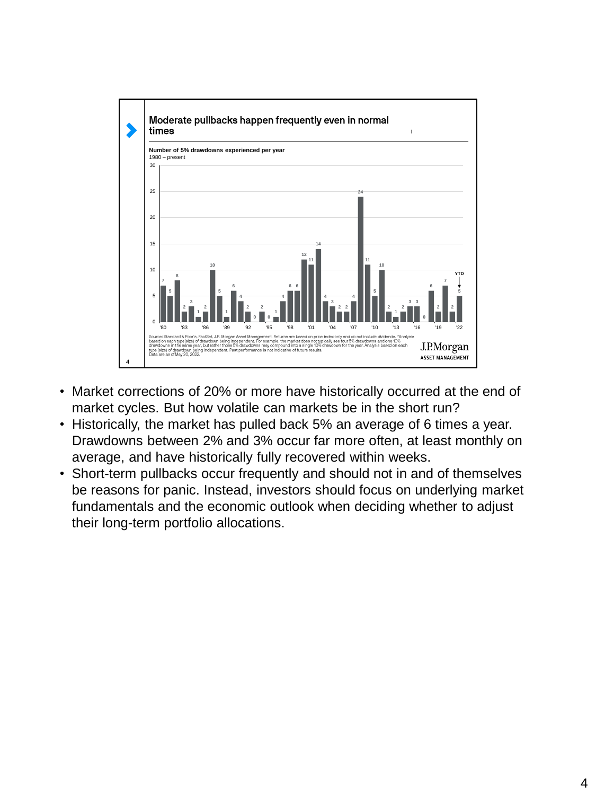

- Market corrections of 20% or more have historically occurred at the end of market cycles. But how volatile can markets be in the short run?
- Historically, the market has pulled back 5% an average of 6 times a year. Drawdowns between 2% and 3% occur far more often, at least monthly on average, and have historically fully recovered within weeks.
- Short-term pullbacks occur frequently and should not in and of themselves be reasons for panic. Instead, investors should focus on underlying market fundamentals and the economic outlook when deciding whether to adjust their long-term portfolio allocations.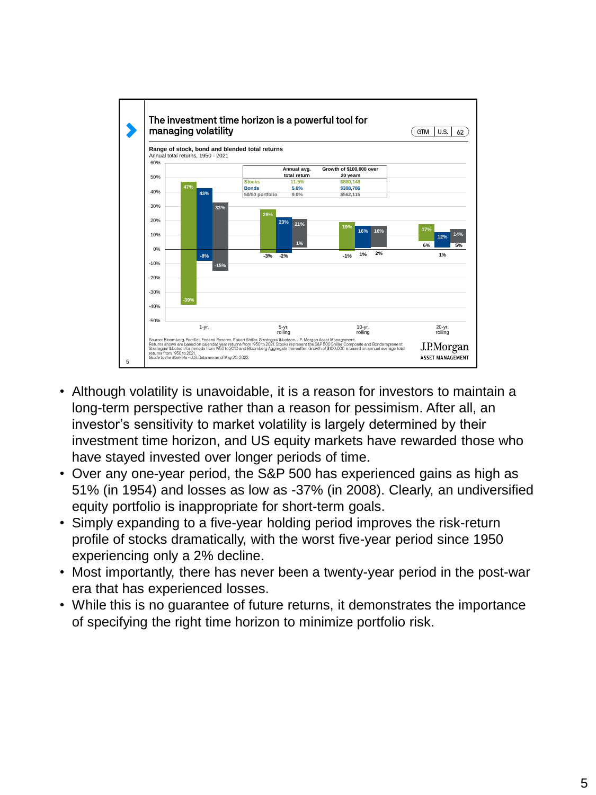

- Although volatility is unavoidable, it is a reason for investors to maintain a long-term perspective rather than a reason for pessimism. After all, an investor's sensitivity to market volatility is largely determined by their investment time horizon, and US equity markets have rewarded those who have stayed invested over longer periods of time.
- Over any one-year period, the S&P 500 has experienced gains as high as 51% (in 1954) and losses as low as -37% (in 2008). Clearly, an undiversified equity portfolio is inappropriate for short-term goals.
- Simply expanding to a five-year holding period improves the risk-return profile of stocks dramatically, with the worst five-year period since 1950 experiencing only a 2% decline.
- Most importantly, there has never been a twenty-year period in the post-war era that has experienced losses.
- While this is no guarantee of future returns, it demonstrates the importance of specifying the right time horizon to minimize portfolio risk.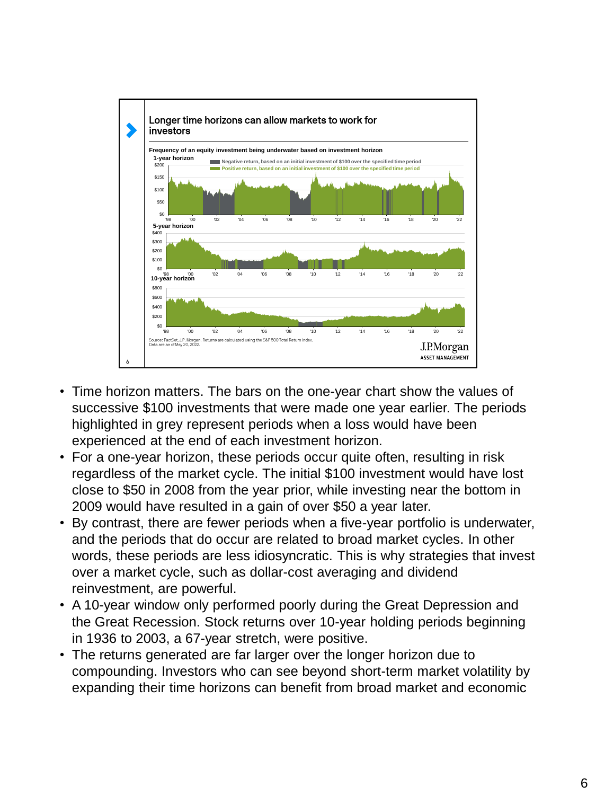

- Time horizon matters. The bars on the one-year chart show the values of successive \$100 investments that were made one year earlier. The periods highlighted in grey represent periods when a loss would have been experienced at the end of each investment horizon.
- For a one-year horizon, these periods occur quite often, resulting in risk regardless of the market cycle. The initial \$100 investment would have lost close to \$50 in 2008 from the year prior, while investing near the bottom in 2009 would have resulted in a gain of over \$50 a year later.
- By contrast, there are fewer periods when a five-year portfolio is underwater, and the periods that do occur are related to broad market cycles. In other words, these periods are less idiosyncratic. This is why strategies that invest over a market cycle, such as dollar-cost averaging and dividend reinvestment, are powerful.
- A 10-year window only performed poorly during the Great Depression and the Great Recession. Stock returns over 10-year holding periods beginning in 1936 to 2003, a 67-year stretch, were positive.
- The returns generated are far larger over the longer horizon due to compounding. Investors who can see beyond short-term market volatility by expanding their time horizons can benefit from broad market and economic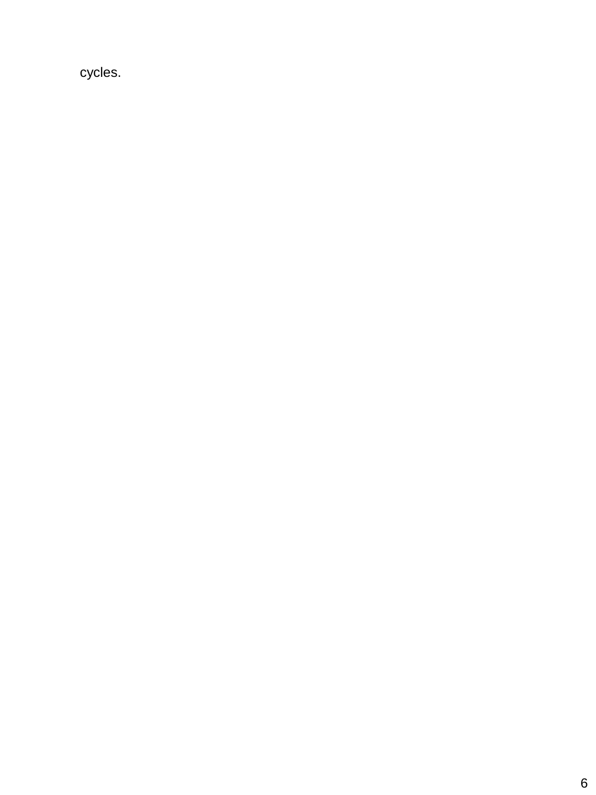cycles.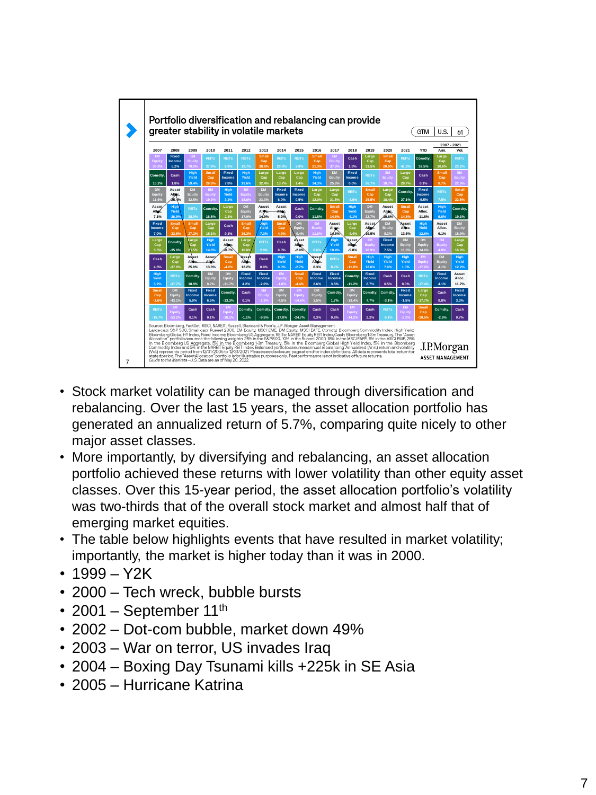

- Stock market volatility can be managed through diversification and rebalancing. Over the last 15 years, the asset allocation portfolio has generated an annualized return of 5.7%, comparing quite nicely to other major asset classes.
- More importantly, by diversifying and rebalancing, an asset allocation portfolio achieved these returns with lower volatility than other equity asset classes. Over this 15-year period, the asset allocation portfolio's volatility was two-thirds that of the overall stock market and almost half that of emerging market equities.
- The table below highlights events that have resulted in market volatility; importantly, the market is higher today than it was in 2000.
- 1999 Y2K
- 2000 Tech wreck, bubble bursts
- 2001 September  $11<sup>th</sup>$
- 2002 Dot-com bubble, market down 49%
- 2003 War on terror, US invades Iraq
- 2004 Boxing Day Tsunami kills +225k in SE Asia
- 2005 Hurricane Katrina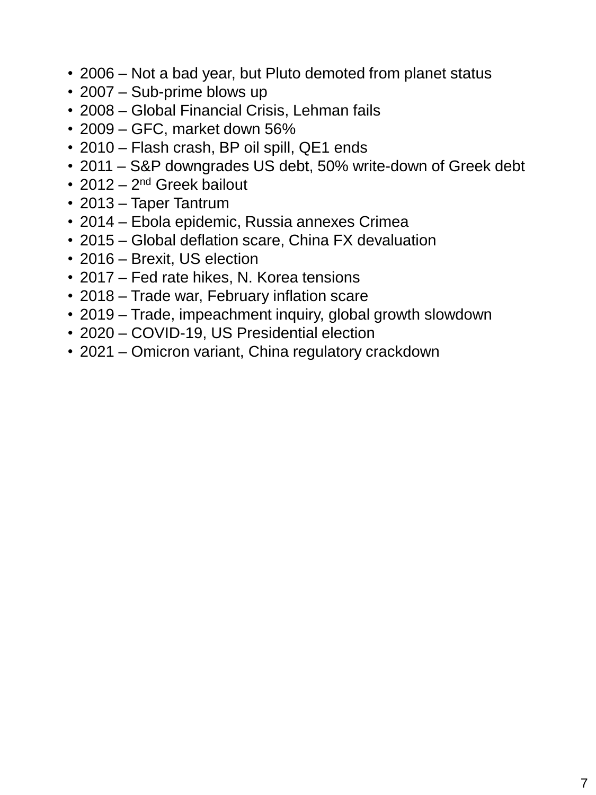- 2006 Not a bad year, but Pluto demoted from planet status
- 2007 Sub-prime blows up
- 2008 Global Financial Crisis, Lehman fails
- 2009 GFC, market down 56%
- 2010 Flash crash, BP oil spill, QE1 ends
- 2011 S&P downgrades US debt, 50% write-down of Greek debt
- 2012 2<sup>nd</sup> Greek bailout
- 2013 Taper Tantrum
- 2014 Ebola epidemic, Russia annexes Crimea
- 2015 Global deflation scare, China FX devaluation
- 2016 Brexit, US election
- 2017 Fed rate hikes, N. Korea tensions
- 2018 Trade war, February inflation scare
- 2019 Trade, impeachment inquiry, global growth slowdown
- 2020 COVID-19, US Presidential election
- 2021 Omicron variant, China regulatory crackdown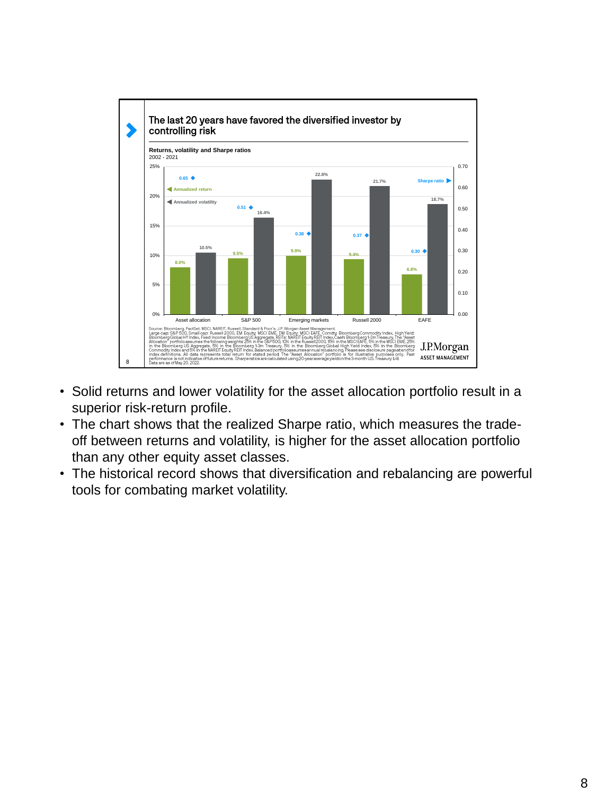

- Solid returns and lower volatility for the asset allocation portfolio result in a superior risk-return profile.
- The chart shows that the realized Sharpe ratio, which measures the tradeoff between returns and volatility, is higher for the asset allocation portfolio than any other equity asset classes.
- The historical record shows that diversification and rebalancing are powerful tools for combating market volatility.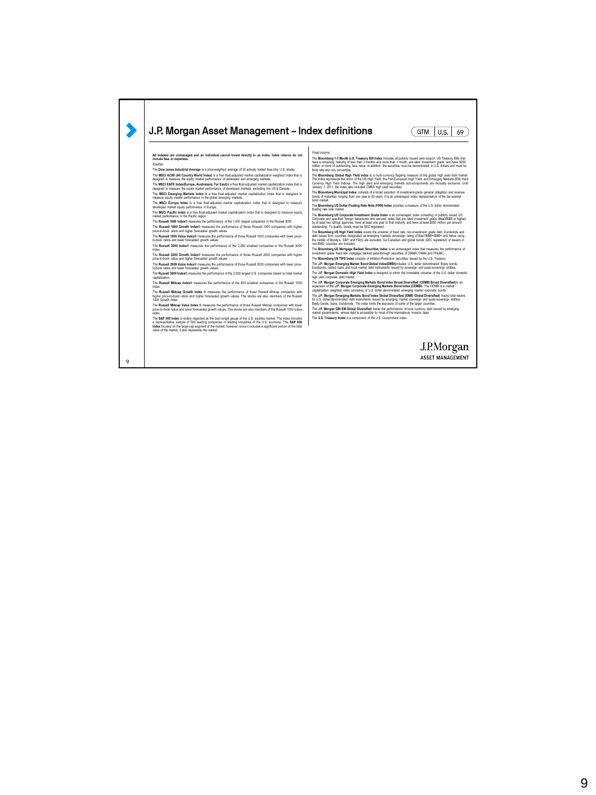## J.P. Morgan Asset Management - Index definitions  $(TM \cup S. \mid 69)$ Final docome:<br>The Bloomberg 1-3 Month U.S. Treasury Bill Index includes all publicly issued zero-coupon US Treasury Bills that<br>The Bloomberg matrix is a state that is a strainer and more than 1 month, are rated investment All indexes are unmanaged and an individual cannot invest directly in an index. Index returns do not<br>include fees or expenses. Equities<br>The Dow Jones Industrial Average is a price-weighted average of 30 actively traded blue-chip U.S. stocks.<br>The Dow Jones Industrial Average is a price-weighted average and acquitation weighted index flast blue.<br>des The MSC Europe Index is a fire florial digital market capitalization index that is designed to measure<br>diversion market equity reformance in Europe.<br>The MSCI Pacific Index is a free float-algorithm diverse capitalization i The Bloomberg US Dollar Floating Rate Note (FRN) Index provides a measure of the U.S. dollar denominated<br>Thosting rate note market<br>The Bloomberg US Corporate Investment Gradel Index is an unmanaged index consisting of publ The Bloomberg US High Yield Index covers the universe of food rate, non-investment grade delx. Eurobonds and<br>debt issues from countries designated as emerging markets (sovereign rating of Bas11868+1888+ and below using<br>the The **Bloomberg US Mortgage Backed Securities Index** is an unmanaged index that measures the performance of investment grade fixed-rate mortgage backed pass-through securities of GNMA, FNMA and FHLMC. The **Russell 2000 Growth Index**® measures the performance of those Russell 2000 companies with higher price-to-book ratios and higher forecasted growth values. The Bloomberg US TIPS Index consists of Inflation-Protection securities issued by the U.S. Treasury.<br>The J.P. Margan Emerging Market Bond Global Index(EMBI)incudes U.S. dollar denominated Brady bonds,<br>The J.P. Morpan Domes The **Russell 2000 Value Index**® measures the performance of those Russell 2000 companies with lower price-to-book ratios and lower forecasted growth values. The **Russell 3000 Index**® measures the performance of the 3,000 largest U.S. companies based on total market capitalization. The **Russell Midcap Index**® measures the performance of the 800 smallest companies in the Russell 1000 The J.P. Morgan Corporate Emerging Markets Bond Index Broad Diversified (CEMBI Broad Diversified)is an<br>expansion of the J.P. Morgan Corporate Emerging Markets Bond Index (CEMBI). The CEMBI is a mattet<br>capitalization weight Index.<br>The **Russell Midcap Growth Index** ® measures the performance of those Russell Midcap companies with<br>higher price-to-book ratios and higher forecasted growth values. The stocks are also members of the Russell<br>1000 Gr The J.P. Morgan Emerging Markets Bond Index Global Diversified (EMBI Global Diversified) tracks total returns<br>for U.S. dollar-denominaled debt Instruments issued by emerging market sovereign and quasi-sovereign entities:<br>B The Russell Midcap Value Index ® measures the performance of those Russell Midcap companies with lower<br>price-to-book ratios and lower forecasted growth values. The stocks are also members of the Russell 1000 Value The J.P. Morgan GBI EM Global Diversified tracks the performance of local currency debt issued by emerging<br>market governments, whose debt is accessible by most of the international investor base.<br>The U.S. Treasury Index is index.<br>The S&P 500 Index is widely regarded as the best single gauge of the U.S. equities market. The index includes<br>a representative sample of 500 leading companies in leading industries of the U.S. economy. The S&P 500<br>I J.P.Morgan ASSET MANAGEMENT

9

 $\blacktriangleright$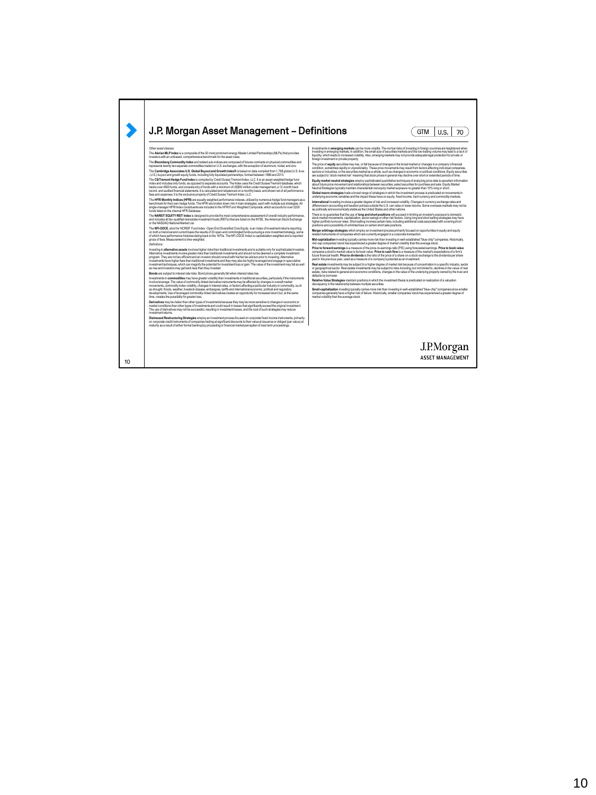